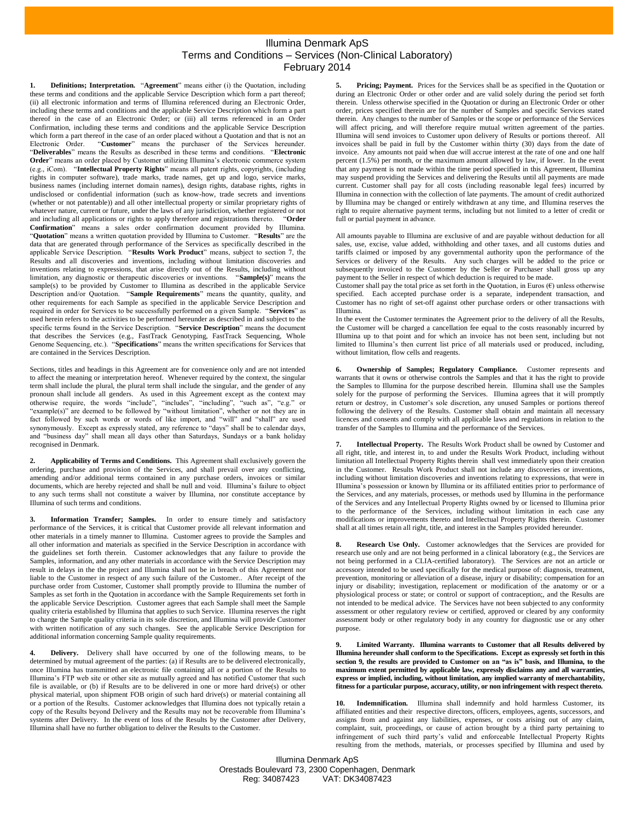## Illumina Denmark ApS Terms and Conditions – Services (Non-Clinical Laboratory) February 2014

<span id="page-0-2"></span>**Definitions; Interpretation.** "**Agreement**" means either (i) the Quotation, including these terms and conditions and the applicable Service Description which form a part thereof; (ii) all electronic information and terms of Illumina referenced during an Electronic Order, including these terms and conditions and the applicable Service Description which form a part thereof in the case of an Electronic Order; or (iii) all terms referenced in an Order Confirmation, including these terms and conditions and the applicable Service Description which form a part thereof in the case of an order placed without a Quotation and that is not an Electronic Order. "**Customer**" means the purchaser of the Services hereunder. "**Deliverables**" means the Results as described in these terms and conditions. "**Electronic Order**" means an order placed by Customer utilizing Illumina's electronic commerce system (e.g., iCom). "**Intellectual Property Rights**" means all patent rights, copyrights, (including rights in computer software), trade marks, trade names, get up and logo, service marks, business names (including internet domain names), design rights, database rights, rights in undisclosed or confidential information (such as know-how, trade secrets and inventions (whether or not patentable)) and all other intellectual property or similar proprietary rights of whatever nature, current or future, under the laws of any jurisdiction, whether registered or not and including all applications or rights to apply therefore and registrations thereto. "Order and including all applications or rights to apply therefore and registrations thereto. **Confirmation**" means a sales order confirmation document provided by Illumina. "**Quotation**" means a written quotation provided by Illumina to Customer. "**Results**" are the data that are generated through performance of the Services as specifically described in the applicable Service Description. "**Results Work Product**" means, subject to section 7, the Results and all discoveries and inventions, including without limitation discoveries and inventions relating to expressions, that arise directly out of the Results, including without limitation, any diagnostic or therapeutic discoveries or inventions. "**Sample(s)**" means the sample(s) to be provided by Customer to Illumina as described in the applicable Service Description and/or Quotation. "**Sample Requirements**" means the quantity, quality, and other requirements for each Sample as specified in the applicable Service Description and required in order for Services to be successfully performed on a given Sample. "**Services**" as used herein refers to the activities to be performed hereunder as described in and subject to the specific terms found in the Service Description. "**Service Description**" means the document that describes the Services (e.g., FastTrack Genotyping, FastTrack Sequencing, Whole Genome Sequencing, etc.). "**Specifications**" means the written specifications for Services that are contained in the Services Description.

Sections, titles and headings in this Agreement are for convenience only and are not intended to affect the meaning or interpretation hereof. Whenever required by the context, the singular term shall include the plural, the plural term shall include the singular, and the gender of any pronoun shall include all genders. As used in this Agreement except as the context may otherwise require, the words "include", "includes", "including", "such as", "e.g." or "example(s)" are deemed to be followed by "without limitation", whether or not they are in fact followed by such words or words of like import, and "will" and "shall" are used synonymously. Except as expressly stated, any reference to "days" shall be to calendar days, and "business day" shall mean all days other than Saturdays, Sundays or a bank holiday recognised in Denmark.

**2. Applicability of Terms and Conditions.** This Agreement shall exclusively govern the ordering, purchase and provision of the Services, and shall prevail over any conflicting, amending and/or additional terms contained in any purchase orders, invoices or similar documents, which are hereby rejected and shall be null and void. Illumina's failure to object to any such terms shall not constitute a waiver by Illumina, nor constitute acceptance by Illumina of such terms and conditions.

**3. Information Transfer; Samples.** In order to ensure timely and satisfactory performance of the Services, it is critical that Customer provide all relevant information and other materials in a timely manner to Illumina. Customer agrees to provide the Samples and all other information and materials as specified in the Service Description in accordance with the guidelines set forth therein. Customer acknowledges that any failure to provide the Samples, information, and any other materials in accordance with the Service Description may result in delays in the the project and Illumina shall not be in breach of this Agreement nor liable to the Customer in respect of any such failure of the Customer.. After receipt of the purchase order from Customer, Customer shall promptly provide to Illumina the number of Samples as set forth in the Quotation in accordance with the Sample Requirements set forth in the applicable Service Description. Customer agrees that each Sample shall meet the Sample quality criteria established by Illumina that applies to such Service. Illumina reserves the right to change the Sample quality criteria in its sole discretion, and Illumina will provide Customer with written notification of any such changes. See the applicable Service Description for additional information concerning Sample quality requirements.

**4. Delivery.** Delivery shall have occurred by one of the following means, to be determined by mutual agreement of the parties: (a) if Results are to be delivered electronically, once Illumina has transmitted an electronic file containing all or a portion of the Results to Illumina's FTP web site or other site as mutually agreed and has notified Customer that such file is available, or (b) if Results are to be delivered in one or more hard drive(s) or other physical material, upon shipment FOB origin of such hard drive(s) or material containing all or a portion of the Results. Customer acknowledges that Illumina does not typically retain a copy of the Results beyond Delivery and the Results may not be recoverable from Illumina's systems after Delivery. In the event of loss of the Results by the Customer after Delivery, Illumina shall have no further obligation to deliver the Results to the Customer.

**5. Pricing; Payment.** Prices for the Services shall be as specified in the Quotation or during an Electronic Order or other order and are valid solely during the period set forth therein. Unless otherwise specified in the Quotation or during an Electronic Order or other order, prices specified therein are for the number of Samples and specific Services stated therein. Any changes to the number of Samples or the scope or performance of the Services will affect pricing, and will therefore require mutual written agreement of the parties. Illumina will send invoices to Customer upon delivery of Results or portions thereof. All invoices shall be paid in full by the Customer within thirty (30) days from the date of invoice. Any amounts not paid when due will accrue interest at the rate of one and one half percent (1.5%) per month, or the maximum amount allowed by law, if lower. In the event that any payment is not made within the time period specified in this Agreement, Illumina may suspend providing the Services and delivering the Results until all payments are made current. Customer shall pay for all costs (including reasonable legal fees) incurred by Illumina in connection with the collection of late payments. The amount of credit authorized by Illumina may be changed or entirely withdrawn at any time, and Illumina reserves the right to require alternative payment terms, including but not limited to a letter of credit or full or partial payment in advance.

All amounts payable to Illumina are exclusive of and are payable without deduction for all sales, use, excise, value added, withholding and other taxes, and all customs duties and tariffs claimed or imposed by any governmental authority upon the performance of the Services or delivery of the Results. Any such charges will be added to the price or subsequently invoiced to the Customer by the Seller or Purchaser shall gross up any payment to the Seller in respect of which deduction is required to be made.

Customer shall pay the total price as set forth in the Quotation, in Euros  $(\epsilon)$  unless otherwise specified. Each accepted purchase order is a separate, independent transaction, and Customer has no right of set-off against other purchase orders or other transactions with Illumina.

In the event the Customer terminates the Agreement prior to the delivery of all the Results, the Customer will be charged a cancellation fee equal to the costs reasonably incurred by Illumina up to that point and for which an invoice has not been sent, including but not limited to Illumina's then current list price of all materials used or produced, including, without limitation, flow cells and reagents.

**6. Ownership of Samples; Regulatory Compliance.** Customer represents and warrants that it owns or otherwise controls the Samples and that it has the right to provide the Samples to Illumina for the purpose described herein. Illumina shall use the Samples solely for the purpose of performing the Services. Illumina agrees that it will promptly return or destroy, in Customer's sole discretion, any unused Samples or portions thereof following the delivery of the Results. Customer shall obtain and maintain all necessary licences and consents and comply with all applicable laws and regulations in relation to the transfer of the Samples to Illumina and the performance of the Services.

**7. Intellectual Property.** The Results Work Product shall be owned by Customer and all right, title, and interest in, to and under the Results Work Product, including without limitation all Intellectual Property Rights therein shall vest immediately upon their creation in the Customer. Results Work Product shall not include any discoveries or inventions, including without limitation discoveries and inventions relating to expressions, that were in Illumina's possession or known by Illumina or its affiliated entities prior to performance of the Services, and any materials, processes, or methods used by Illumina in the performance of the Services and any Intellectual Property Rights owned by or licensed to Illumina prior to the performance of the Services, including without limitation in each case any modifications or improvements thereto and Intellectual Property Rights therein. Customer shall at all times retain all right, title, and interest in the Samples provided hereunder.

**8. Research Use Only.** Customer acknowledges that the Services are provided for research use only and are not being performed in a clinical laboratory (e.g., the Services are not being performed in a CLIA-certified laboratory). The Services are not an article or accessory intended to be used specifically for the medical purpose of: diagnosis, treatment, prevention, monitoring or alleviation of a disease, injury or disability; compensation for an injury or disability; investigation, replacement or modification of the anatomy or or a physiological process or state; or control or support of contraception;, and the Results are not intended to be medical advice. The Services have not been subjected to any conformity assessment or other regulatory review or certified, approved or cleared by any conformity assessment body or other regulatory body in any country for diagnostic use or any other purpose.

<span id="page-0-0"></span>**9. Limited Warranty. Illumina warrants to Customer that all Results delivered by Illumina hereunder shall conform to the Specifications. Except as expressly set forth in this section [9,](#page-0-0) the results are provided to Customer on an "as is" basis, and Illumina, to the maximum extent permitted by applicable law, expressly disclaims any and all warranties, express or implied, including, without limitation, any implied warranty of merchantability, fitness for a particular purpose, accuracy, utility, or non infringement with respect thereto.**

<span id="page-0-1"></span>**10. Indemnification.** Illumina shall indemnify and hold harmless Customer, its affiliated entities and their respective directors, officers, employees, agents, successors, and assigns from and against any liabilities, expenses, or costs arising out of any claim, complaint, suit, proceedings, or cause of action brought by a third party pertaining to infringement of such third party's valid and enforceable Intellectual Property Rights resulting from the methods, materials, or processes specified by Illumina and used by

Illumina Denmark ApS Orestads Boulevard 73, 2300 Copenhagen, Denmark Reg: 34087423 VAT: DK34087423